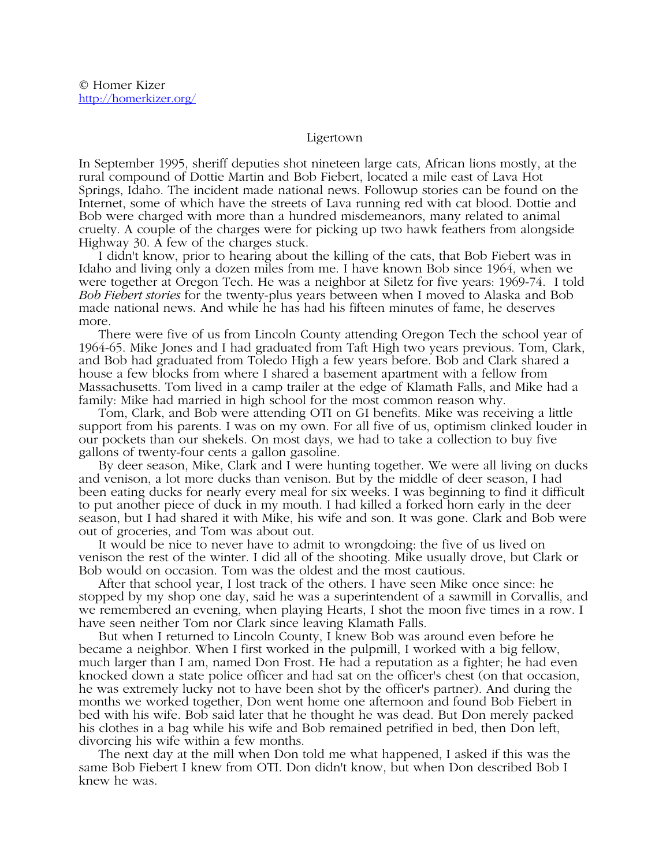## Ligertown

In September 1995, sheriff deputies shot nineteen large cats, African lions mostly, at the rural compound of Dottie Martin and Bob Fiebert, located a mile east of Lava Hot Springs, Idaho. The incident made national news. Followup stories can be found on the Internet, some of which have the streets of Lava running red with cat blood. Dottie and Bob were charged with more than a hundred misdemeanors, many related to animal cruelty. A couple of the charges were for picking up two hawk feathers from alongside Highway 30. A few of the charges stuck.

 I didn't know, prior to hearing about the killing of the cats, that Bob Fiebert was in Idaho and living only a dozen miles from me. I have known Bob since 1964, when we were together at Oregon Tech. He was a neighbor at Siletz for five years: 1969-74. I told *Bob Fiebert stories* for the twenty-plus years between when I moved to Alaska and Bob made national news. And while he has had his fifteen minutes of fame, he deserves more.

 There were five of us from Lincoln County attending Oregon Tech the school year of 1964-65. Mike Jones and I had graduated from Taft High two years previous. Tom, Clark, and Bob had graduated from Toledo High a few years before. Bob and Clark shared a house a few blocks from where I shared a basement apartment with a fellow from Massachusetts. Tom lived in a camp trailer at the edge of Klamath Falls, and Mike had a family: Mike had married in high school for the most common reason why.

 Tom, Clark, and Bob were attending OTI on GI benefits. Mike was receiving a little support from his parents. I was on my own. For all five of us, optimism clinked louder in our pockets than our shekels. On most days, we had to take a collection to buy five gallons of twenty-four cents a gallon gasoline.

 By deer season, Mike, Clark and I were hunting together. We were all living on ducks and venison, a lot more ducks than venison. But by the middle of deer season, I had been eating ducks for nearly every meal for six weeks. I was beginning to find it difficult to put another piece of duck in my mouth. I had killed a forked horn early in the deer season, but I had shared it with Mike, his wife and son. It was gone. Clark and Bob were out of groceries, and Tom was about out.

 It would be nice to never have to admit to wrongdoing: the five of us lived on venison the rest of the winter. I did all of the shooting. Mike usually drove, but Clark or Bob would on occasion. Tom was the oldest and the most cautious.

 After that school year, I lost track of the others. I have seen Mike once since: he stopped by my shop one day, said he was a superintendent of a sawmill in Corvallis, and we remembered an evening, when playing Hearts, I shot the moon five times in a row. I have seen neither Tom nor Clark since leaving Klamath Falls.

 But when I returned to Lincoln County, I knew Bob was around even before he became a neighbor. When I first worked in the pulpmill, I worked with a big fellow, much larger than I am, named Don Frost. He had a reputation as a fighter; he had even knocked down a state police officer and had sat on the officer's chest (on that occasion, he was extremely lucky not to have been shot by the officer's partner). And during the months we worked together, Don went home one afternoon and found Bob Fiebert in bed with his wife. Bob said later that he thought he was dead. But Don merely packed his clothes in a bag while his wife and Bob remained petrified in bed, then Don left, divorcing his wife within a few months.

 The next day at the mill when Don told me what happened, I asked if this was the same Bob Fiebert I knew from OTI. Don didn't know, but when Don described Bob I knew he was.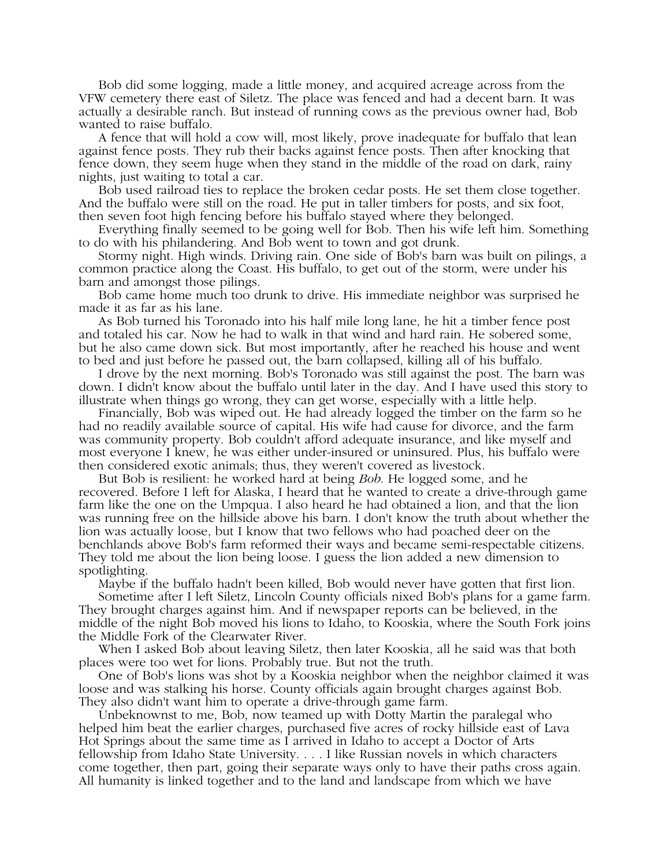Bob did some logging, made a little money, and acquired acreage across from the VFW cemetery there east of Siletz. The place was fenced and had a decent barn. It was actually a desirable ranch. But instead of running cows as the previous owner had, Bob wanted to raise buffalo.

 A fence that will hold a cow will, most likely, prove inadequate for buffalo that lean against fence posts. They rub their backs against fence posts. Then after knocking that fence down, they seem huge when they stand in the middle of the road on dark, rainy nights, just waiting to total a car.

 Bob used railroad ties to replace the broken cedar posts. He set them close together. And the buffalo were still on the road. He put in taller timbers for posts, and six foot, then seven foot high fencing before his buffalo stayed where they belonged.

 Everything finally seemed to be going well for Bob. Then his wife left him. Something to do with his philandering. And Bob went to town and got drunk.

 Stormy night. High winds. Driving rain. One side of Bob's barn was built on pilings, a common practice along the Coast. His buffalo, to get out of the storm, were under his barn and amongst those pilings.

 Bob came home much too drunk to drive. His immediate neighbor was surprised he made it as far as his lane.

 As Bob turned his Toronado into his half mile long lane, he hit a timber fence post and totaled his car. Now he had to walk in that wind and hard rain. He sobered some, but he also came down sick. But most importantly, after he reached his house and went to bed and just before he passed out, the barn collapsed, killing all of his buffalo.

 I drove by the next morning. Bob's Toronado was still against the post. The barn was down. I didn't know about the buffalo until later in the day. And I have used this story to illustrate when things go wrong, they can get worse, especially with a little help.

 Financially, Bob was wiped out. He had already logged the timber on the farm so he had no readily available source of capital. His wife had cause for divorce, and the farm was community property. Bob couldn't afford adequate insurance, and like myself and most everyone I knew, he was either under-insured or uninsured. Plus, his buffalo were then considered exotic animals; thus, they weren't covered as livestock.

 But Bob is resilient: he worked hard at being *Bob*. He logged some, and he recovered. Before I left for Alaska, I heard that he wanted to create a drive-through game farm like the one on the Umpqua. I also heard he had obtained a lion, and that the lion was running free on the hillside above his barn. I don't know the truth about whether the lion was actually loose, but I know that two fellows who had poached deer on the benchlands above Bob's farm reformed their ways and became semi-respectable citizens. They told me about the lion being loose. I guess the lion added a new dimension to spotlighting.

Maybe if the buffalo hadn't been killed, Bob would never have gotten that first lion.

 Sometime after I left Siletz, Lincoln County officials nixed Bob's plans for a game farm. They brought charges against him. And if newspaper reports can be believed, in the middle of the night Bob moved his lions to Idaho, to Kooskia, where the South Fork joins the Middle Fork of the Clearwater River.

 When I asked Bob about leaving Siletz, then later Kooskia, all he said was that both places were too wet for lions. Probably true. But not the truth.

 One of Bob's lions was shot by a Kooskia neighbor when the neighbor claimed it was loose and was stalking his horse. County officials again brought charges against Bob. They also didn't want him to operate a drive-through game farm.

 Unbeknownst to me, Bob, now teamed up with Dotty Martin the paralegal who helped him beat the earlier charges, purchased five acres of rocky hillside east of Lava Hot Springs about the same time as I arrived in Idaho to accept a Doctor of Arts fellowship from Idaho State University. . . . I like Russian novels in which characters come together, then part, going their separate ways only to have their paths cross again. All humanity is linked together and to the land and landscape from which we have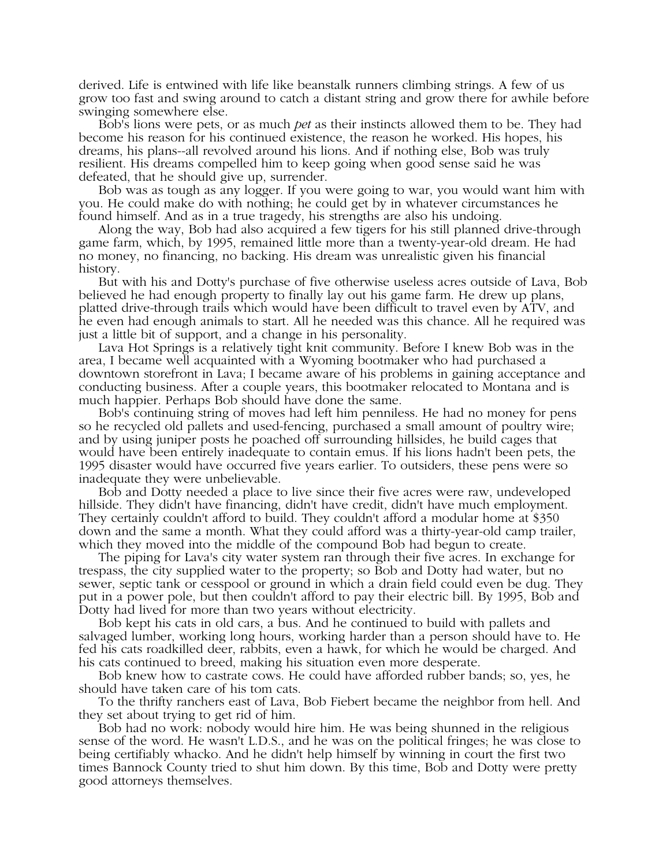derived. Life is entwined with life like beanstalk runners climbing strings. A few of us grow too fast and swing around to catch a distant string and grow there for awhile before swinging somewhere else.

 Bob's lions were pets, or as much *pet* as their instincts allowed them to be. They had become his reason for his continued existence, the reason he worked. His hopes, his dreams, his plans--all revolved around his lions. And if nothing else, Bob was truly resilient. His dreams compelled him to keep going when good sense said he was defeated, that he should give up, surrender.

 Bob was as tough as any logger. If you were going to war, you would want him with you. He could make do with nothing; he could get by in whatever circumstances he found himself. And as in a true tragedy, his strengths are also his undoing.

 Along the way, Bob had also acquired a few tigers for his still planned drive-through game farm, which, by 1995, remained little more than a twenty-year-old dream. He had no money, no financing, no backing. His dream was unrealistic given his financial history.

 But with his and Dotty's purchase of five otherwise useless acres outside of Lava, Bob believed he had enough property to finally lay out his game farm. He drew up plans, platted drive-through trails which would have been difficult to travel even by ATV, and he even had enough animals to start. All he needed was this chance. All he required was just a little bit of support, and a change in his personality.

 Lava Hot Springs is a relatively tight knit community. Before I knew Bob was in the area, I became well acquainted with a Wyoming bootmaker who had purchased a downtown storefront in Lava; I became aware of his problems in gaining acceptance and conducting business. After a couple years, this bootmaker relocated to Montana and is much happier. Perhaps Bob should have done the same.

 Bob's continuing string of moves had left him penniless. He had no money for pens so he recycled old pallets and used-fencing, purchased a small amount of poultry wire; and by using juniper posts he poached off surrounding hillsides, he build cages that would have been entirely inadequate to contain emus. If his lions hadn't been pets, the 1995 disaster would have occurred five years earlier. To outsiders, these pens were so inadequate they were unbelievable.

 Bob and Dotty needed a place to live since their five acres were raw, undeveloped hillside. They didn't have financing, didn't have credit, didn't have much employment. They certainly couldn't afford to build. They couldn't afford a modular home at \$350 down and the same a month. What they could afford was a thirty-year-old camp trailer, which they moved into the middle of the compound Bob had begun to create.

 The piping for Lava's city water system ran through their five acres. In exchange for trespass, the city supplied water to the property; so Bob and Dotty had water, but no sewer, septic tank or cesspool or ground in which a drain field could even be dug. They put in a power pole, but then couldn't afford to pay their electric bill. By 1995, Bob and Dotty had lived for more than two years without electricity.

 Bob kept his cats in old cars, a bus. And he continued to build with pallets and salvaged lumber, working long hours, working harder than a person should have to. He fed his cats roadkilled deer, rabbits, even a hawk, for which he would be charged. And his cats continued to breed, making his situation even more desperate.

 Bob knew how to castrate cows. He could have afforded rubber bands; so, yes, he should have taken care of his tom cats.

 To the thrifty ranchers east of Lava, Bob Fiebert became the neighbor from hell. And they set about trying to get rid of him.

 Bob had no work: nobody would hire him. He was being shunned in the religious sense of the word. He wasn't L.D.S., and he was on the political fringes; he was close to being certifiably whacko. And he didn't help himself by winning in court the first two times Bannock County tried to shut him down. By this time, Bob and Dotty were pretty good attorneys themselves.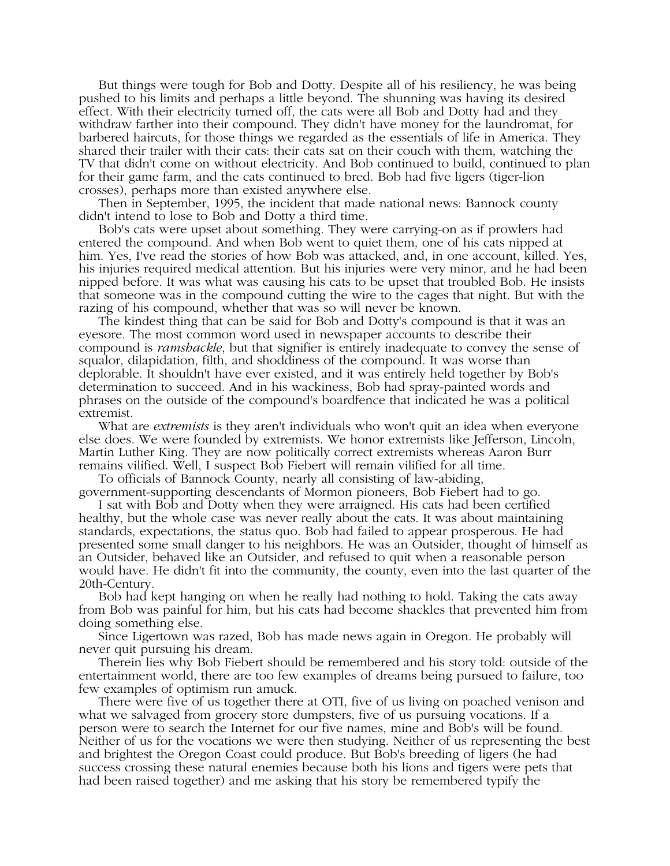But things were tough for Bob and Dotty. Despite all of his resiliency, he was being pushed to his limits and perhaps a little beyond. The shunning was having its desired effect. With their electricity turned off, the cats were all Bob and Dotty had and they withdraw farther into their compound. They didn't have money for the laundromat, for barbered haircuts, for those things we regarded as the essentials of life in America. They shared their trailer with their cats: their cats sat on their couch with them, watching the TV that didn't come on without electricity. And Bob continued to build, continued to plan for their game farm, and the cats continued to bred. Bob had five ligers (tiger-lion crosses), perhaps more than existed anywhere else.

 Then in September, 1995, the incident that made national news: Bannock county didn't intend to lose to Bob and Dotty a third time.

 Bob's cats were upset about something. They were carrying-on as if prowlers had entered the compound. And when Bob went to quiet them, one of his cats nipped at him. Yes, I've read the stories of how Bob was attacked, and, in one account, killed. Yes, his injuries required medical attention. But his injuries were very minor, and he had been nipped before. It was what was causing his cats to be upset that troubled Bob. He insists that someone was in the compound cutting the wire to the cages that night. But with the razing of his compound, whether that was so will never be known.

 The kindest thing that can be said for Bob and Dotty's compound is that it was an eyesore. The most common word used in newspaper accounts to describe their compound is *ramshackle*, but that signifier is entirely inadequate to convey the sense of squalor, dilapidation, filth, and shoddiness of the compound. It was worse than deplorable. It shouldn't have ever existed, and it was entirely held together by Bob's determination to succeed. And in his wackiness, Bob had spray-painted words and phrases on the outside of the compound's boardfence that indicated he was a political extremist.

 What are *extremists* is they aren't individuals who won't quit an idea when everyone else does. We were founded by extremists. We honor extremists like Jefferson, Lincoln, Martin Luther King. They are now politically correct extremists whereas Aaron Burr remains vilified. Well, I suspect Bob Fiebert will remain vilified for all time.

 To officials of Bannock County, nearly all consisting of law-abiding, government-supporting descendants of Mormon pioneers, Bob Fiebert had to go.

 I sat with Bob and Dotty when they were arraigned. His cats had been certified healthy, but the whole case was never really about the cats. It was about maintaining standards, expectations, the status quo. Bob had failed to appear prosperous. He had presented some small danger to his neighbors. He was an Outsider, thought of himself as an Outsider, behaved like an Outsider, and refused to quit when a reasonable person would have. He didn't fit into the community, the county, even into the last quarter of the 20th-Century.

 Bob had kept hanging on when he really had nothing to hold. Taking the cats away from Bob was painful for him, but his cats had become shackles that prevented him from doing something else.

 Since Ligertown was razed, Bob has made news again in Oregon. He probably will never quit pursuing his dream.

 Therein lies why Bob Fiebert should be remembered and his story told: outside of the entertainment world, there are too few examples of dreams being pursued to failure, too few examples of optimism run amuck.

 There were five of us together there at OTI, five of us living on poached venison and what we salvaged from grocery store dumpsters, five of us pursuing vocations. If a person were to search the Internet for our five names, mine and Bob's will be found. Neither of us for the vocations we were then studying. Neither of us representing the best and brightest the Oregon Coast could produce. But Bob's breeding of ligers (he had success crossing these natural enemies because both his lions and tigers were pets that had been raised together) and me asking that his story be remembered typify the